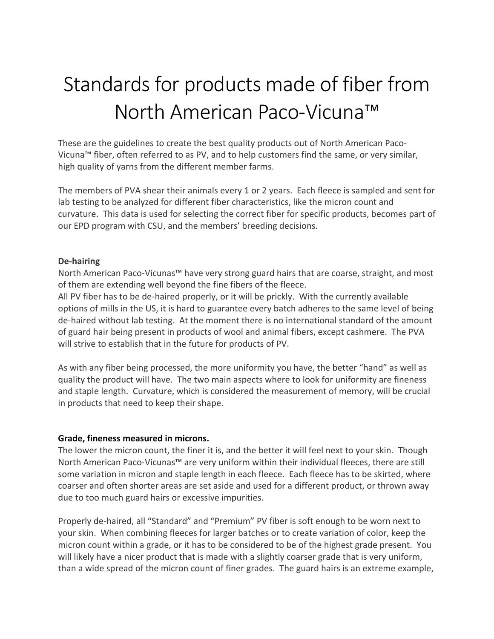# Standards for products made of fiber from North American Paco-Vicuna™

These are the guidelines to create the best quality products out of North American Paco-Vicuna<sup>™</sup> fiber, often referred to as PV, and to help customers find the same, or very similar, high quality of yarns from the different member farms.

The members of PVA shear their animals every 1 or 2 years. Each fleece is sampled and sent for lab testing to be analyzed for different fiber characteristics, like the micron count and curvature. This data is used for selecting the correct fiber for specific products, becomes part of our EPD program with CSU, and the members' breeding decisions.

#### **De-hairing**

North American Paco-Vicunas™ have very strong guard hairs that are coarse, straight, and most of them are extending well beyond the fine fibers of the fleece.

All PV fiber has to be de-haired properly, or it will be prickly. With the currently available options of mills in the US, it is hard to guarantee every batch adheres to the same level of being de-haired without lab testing. At the moment there is no international standard of the amount of guard hair being present in products of wool and animal fibers, except cashmere. The PVA will strive to establish that in the future for products of PV.

As with any fiber being processed, the more uniformity you have, the better "hand" as well as quality the product will have. The two main aspects where to look for uniformity are fineness and staple length. Curvature, which is considered the measurement of memory, will be crucial in products that need to keep their shape.

#### **Grade, fineness measured in microns.**

The lower the micron count, the finer it is, and the better it will feel next to your skin. Though North American Paco-Vicunas™ are very uniform within their individual fleeces, there are still some variation in micron and staple length in each fleece. Each fleece has to be skirted, where coarser and often shorter areas are set aside and used for a different product, or thrown away due to too much guard hairs or excessive impurities.

Properly de-haired, all "Standard" and "Premium" PV fiber is soft enough to be worn next to your skin. When combining fleeces for larger batches or to create variation of color, keep the micron count within a grade, or it has to be considered to be of the highest grade present. You will likely have a nicer product that is made with a slightly coarser grade that is very uniform, than a wide spread of the micron count of finer grades. The guard hairs is an extreme example,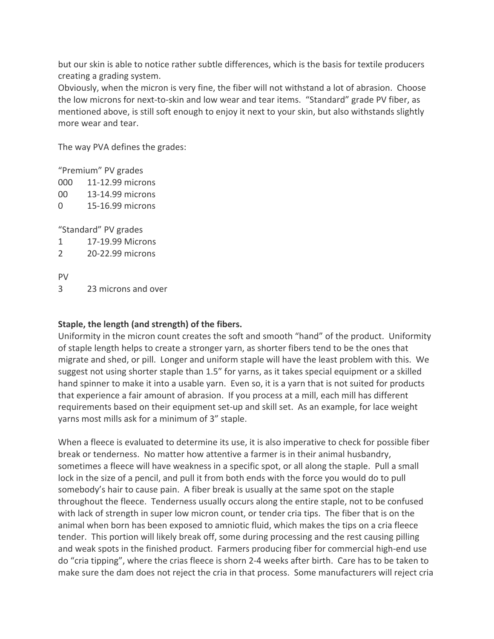but our skin is able to notice rather subtle differences, which is the basis for textile producers creating a grading system.

Obviously, when the micron is very fine, the fiber will not withstand a lot of abrasion. Choose the low microns for next-to-skin and low wear and tear items. "Standard" grade PV fiber, as mentioned above, is still soft enough to enjoy it next to your skin, but also withstands slightly more wear and tear.

The way PVA defines the grades:

"Premium" PV grades

- 000 11-12.99 microns
- 00 13-14.99 microns
- 0 15-16.99 microns

"Standard" PV grades

- 1 17-19.99 Microns
- 2 20-22.99 microns

PV 

3 23 microns and over

## **Staple, the length (and strength) of the fibers.**

Uniformity in the micron count creates the soft and smooth "hand" of the product. Uniformity of staple length helps to create a stronger yarn, as shorter fibers tend to be the ones that migrate and shed, or pill. Longer and uniform staple will have the least problem with this. We suggest not using shorter staple than 1.5" for yarns, as it takes special equipment or a skilled hand spinner to make it into a usable yarn. Even so, it is a yarn that is not suited for products that experience a fair amount of abrasion. If you process at a mill, each mill has different requirements based on their equipment set-up and skill set. As an example, for lace weight yarns most mills ask for a minimum of 3" staple.

When a fleece is evaluated to determine its use, it is also imperative to check for possible fiber break or tenderness. No matter how attentive a farmer is in their animal husbandry, sometimes a fleece will have weakness in a specific spot, or all along the staple. Pull a small lock in the size of a pencil, and pull it from both ends with the force you would do to pull somebody's hair to cause pain. A fiber break is usually at the same spot on the staple throughout the fleece. Tenderness usually occurs along the entire staple, not to be confused with lack of strength in super low micron count, or tender cria tips. The fiber that is on the animal when born has been exposed to amniotic fluid, which makes the tips on a cria fleece tender. This portion will likely break off, some during processing and the rest causing pilling and weak spots in the finished product. Farmers producing fiber for commercial high-end use do "cria tipping", where the crias fleece is shorn 2-4 weeks after birth. Care has to be taken to make sure the dam does not reject the cria in that process. Some manufacturers will reject cria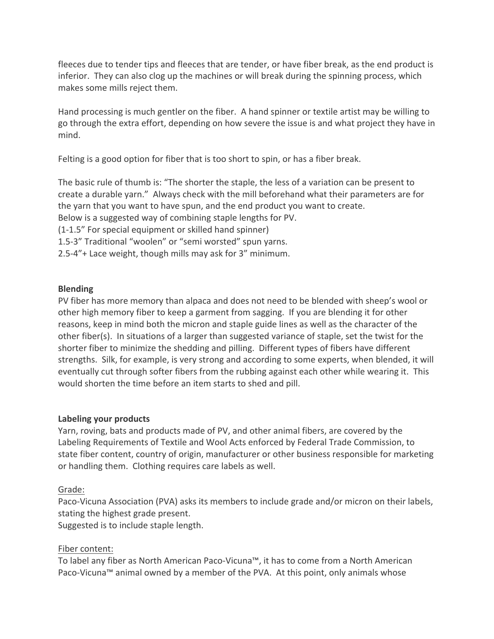fleeces due to tender tips and fleeces that are tender, or have fiber break, as the end product is inferior. They can also clog up the machines or will break during the spinning process, which makes some mills reject them.

Hand processing is much gentler on the fiber. A hand spinner or textile artist may be willing to go through the extra effort, depending on how severe the issue is and what project they have in mind. 

Felting is a good option for fiber that is too short to spin, or has a fiber break.

The basic rule of thumb is: "The shorter the staple, the less of a variation can be present to create a durable yarn." Always check with the mill beforehand what their parameters are for the yarn that you want to have spun, and the end product you want to create. Below is a suggested way of combining staple lengths for PV. (1-1.5" For special equipment or skilled hand spinner) 1.5-3" Traditional "woolen" or "semi worsted" spun yarns. 2.5-4"+ Lace weight, though mills may ask for 3" minimum.

#### **Blending**

PV fiber has more memory than alpaca and does not need to be blended with sheep's wool or other high memory fiber to keep a garment from sagging. If you are blending it for other reasons, keep in mind both the micron and staple guide lines as well as the character of the other fiber(s). In situations of a larger than suggested variance of staple, set the twist for the shorter fiber to minimize the shedding and pilling. Different types of fibers have different strengths. Silk, for example, is very strong and according to some experts, when blended, it will eventually cut through softer fibers from the rubbing against each other while wearing it. This would shorten the time before an item starts to shed and pill.

#### Labeling your products

Yarn, roving, bats and products made of PV, and other animal fibers, are covered by the Labeling Requirements of Textile and Wool Acts enforced by Federal Trade Commission, to state fiber content, country of origin, manufacturer or other business responsible for marketing or handling them. Clothing requires care labels as well.

## Grade:

Paco-Vicuna Association (PVA) asks its members to include grade and/or micron on their labels, stating the highest grade present.

Suggested is to include staple length.

## Fiber content:

To label any fiber as North American Paco-Vicuna™, it has to come from a North American Paco-Vicuna™ animal owned by a member of the PVA. At this point, only animals whose